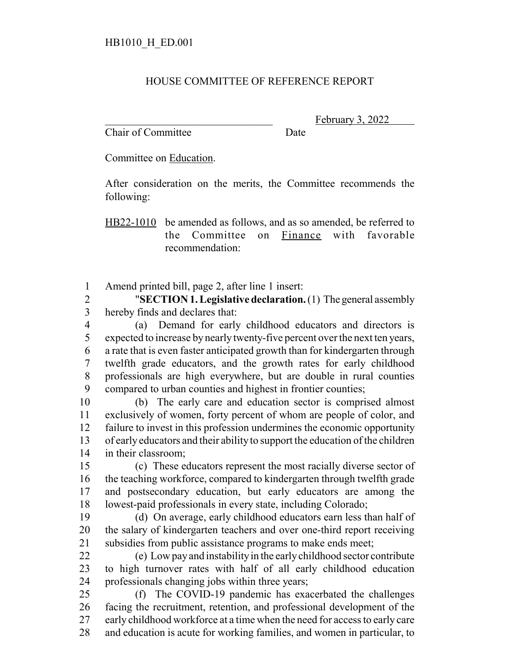## HOUSE COMMITTEE OF REFERENCE REPORT

Chair of Committee Date

February 3, 2022

Committee on Education.

After consideration on the merits, the Committee recommends the following:

HB22-1010 be amended as follows, and as so amended, be referred to the Committee on Finance with favorable recommendation:

Amend printed bill, page 2, after line 1 insert:

 "**SECTION 1.Legislative declaration.** (1) The general assembly hereby finds and declares that:

 (a) Demand for early childhood educators and directors is expected to increase by nearly twenty-five percent over the next ten years, a rate that is even faster anticipated growth than for kindergarten through twelfth grade educators, and the growth rates for early childhood professionals are high everywhere, but are double in rural counties compared to urban counties and highest in frontier counties;

 (b) The early care and education sector is comprised almost exclusively of women, forty percent of whom are people of color, and failure to invest in this profession undermines the economic opportunity of early educators and their ability to support the education of the children in their classroom;

 (c) These educators represent the most racially diverse sector of the teaching workforce, compared to kindergarten through twelfth grade and postsecondary education, but early educators are among the lowest-paid professionals in every state, including Colorado;

 (d) On average, early childhood educators earn less than half of the salary of kindergarten teachers and over one-third report receiving subsidies from public assistance programs to make ends meet;

 (e) Low pay and instability in the early childhood sector contribute to high turnover rates with half of all early childhood education professionals changing jobs within three years;

 (f) The COVID-19 pandemic has exacerbated the challenges facing the recruitment, retention, and professional development of the early childhood workforce at a time when the need for access to early care and education is acute for working families, and women in particular, to